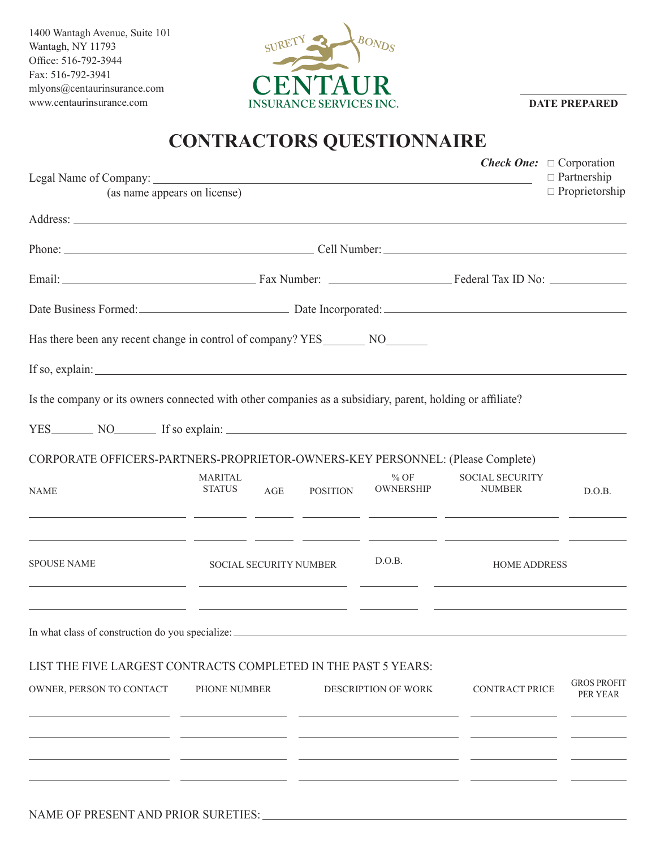1400 Wantagh Avenue, Suite 101 Wantagh, NY 11793 Office: 516-792-3944 Fax: 516-792-3941 mlyons@centaurinsurance.com www.centaurinsurance.com



**DATE PREPARED**

## **CONTRACTORS QUESTIONNAIRE**

|                                                  |                                                                                                                                                           |                            |                                         | <b>Check One:</b> $\Box$ Corporation<br>$\Box$ Partnership |
|--------------------------------------------------|-----------------------------------------------------------------------------------------------------------------------------------------------------------|----------------------------|-----------------------------------------|------------------------------------------------------------|
| (as name appears on license)                     |                                                                                                                                                           |                            |                                         | $\Box$ Proprietorship                                      |
|                                                  |                                                                                                                                                           |                            |                                         |                                                            |
|                                                  |                                                                                                                                                           |                            |                                         |                                                            |
|                                                  |                                                                                                                                                           |                            |                                         |                                                            |
|                                                  | Date Business Formed: Date Incorporated: Date Incorporated:                                                                                               |                            |                                         |                                                            |
|                                                  | Has there been any recent change in control of company? YES NO                                                                                            |                            |                                         |                                                            |
|                                                  | If so, explain: $\sqrt{\frac{2}{n}}$                                                                                                                      |                            |                                         |                                                            |
|                                                  | Is the company or its owners connected with other companies as a subsidiary, parent, holding or affiliate?                                                |                            |                                         |                                                            |
|                                                  | YES NO If so explain:                                                                                                                                     |                            |                                         |                                                            |
|                                                  | CORPORATE OFFICERS-PARTNERS-PROPRIETOR-OWNERS-KEY PERSONNEL: (Please Complete)                                                                            |                            |                                         |                                                            |
| <b>NAME</b>                                      | <b>MARITAL</b><br><b>STATUS</b><br>AGE<br><b>POSITION</b><br><u> 1989 - Andrea Andrew Maria (h. 1989).</u>                                                | $%$ OF<br><b>OWNERSHIP</b> | <b>SOCIAL SECURITY</b><br><b>NUMBER</b> | D.O.B.                                                     |
| <b>SPOUSE NAME</b>                               | <u> 1990 - Andrea Andrea Andrea Andrea Andrea Andrea Andrea Andrea Andrea Andrea Andrea Andrea Andrea Andrea Andr</u><br>D.O.B.<br>SOCIAL SECURITY NUMBER |                            | <b>HOME ADDRESS</b>                     |                                                            |
| In what class of construction do you specialize: | <u> 1989 - Andrea San Andrea San Andrea San Andrea San Andrea San Andrea San Andrea San Andrea San Andrea San A</u>                                       |                            |                                         |                                                            |
|                                                  | LIST THE FIVE LARGEST CONTRACTS COMPLETED IN THE PAST 5 YEARS:                                                                                            |                            |                                         |                                                            |
| OWNER, PERSON TO CONTACT                         | PHONE NUMBER                                                                                                                                              | <b>DESCRIPTION OF WORK</b> | <b>CONTRACT PRICE</b>                   | <b>GROS PROFIT</b><br>PER YEAR                             |
|                                                  |                                                                                                                                                           |                            |                                         |                                                            |
|                                                  |                                                                                                                                                           |                            |                                         |                                                            |
|                                                  |                                                                                                                                                           |                            |                                         |                                                            |